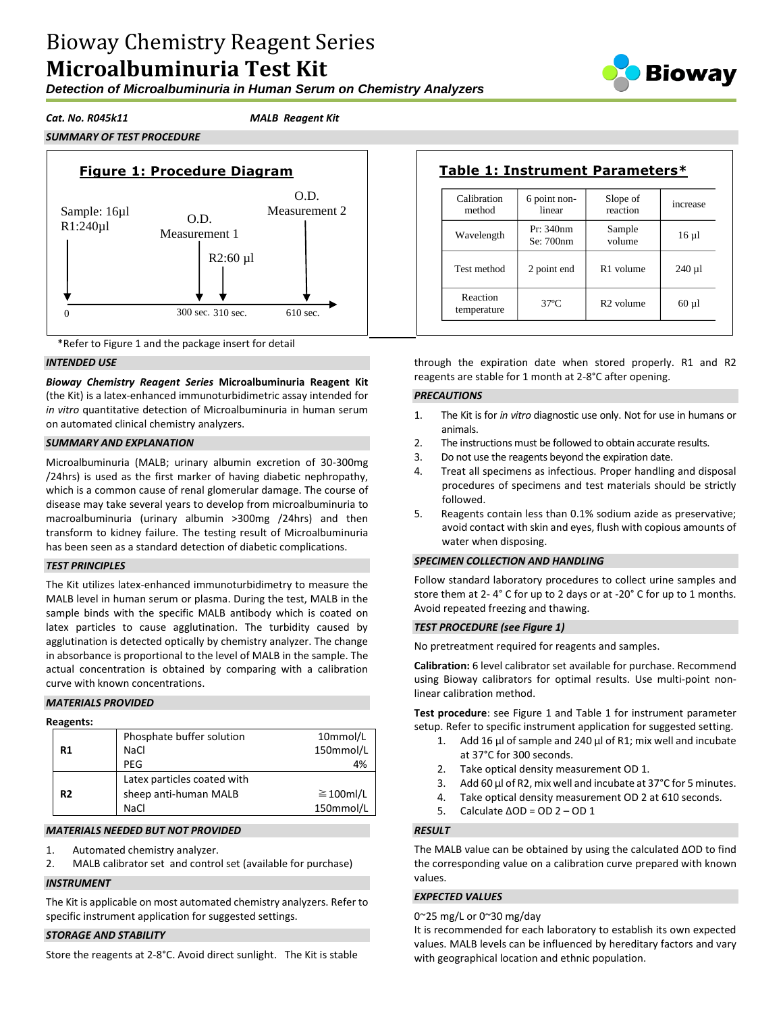# Bioway Chemistry Reagent Series **Microalbuminuria Test Kit**

*Detection of Microalbuminuria in Human Serum on Chemistry Analyzers*

*SUMMARY OF TEST PROCEDURE*

*Cat. No. R045k11 MALB Reagent Kit*





### *INTENDED USE*

*Bioway Chemistry Reagent Series* **Microalbuminuria Reagent Kit**  (the Kit) is a latex-enhanced immunoturbidimetric assay intended for *in vitro* quantitative detection of Microalbuminuria in human serum on automated clinical chemistry analyzers.

# *SUMMARY AND EXPLANATION*

Microalbuminuria (MALB; urinary albumin excretion of 30-300mg /24hrs) is used as the first marker of having diabetic nephropathy, which is a common cause of renal glomerular damage. The course of disease may take several years to develop from microalbuminuria to macroalbuminuria (urinary albumin >300mg /24hrs) and then transform to kidney failure. The testing result of Microalbuminuria has been seen as a standard detection of diabetic complications.

# *TEST PRINCIPLES*

The Kit utilizes latex-enhanced immunoturbidimetry to measure the MALB level in human serum or plasma. During the test, MALB in the sample binds with the specific MALB antibody which is coated on latex particles to cause agglutination. The turbidity caused by agglutination is detected optically by chemistry analyzer. The change in absorbance is proportional to the level of MALB in the sample. The actual concentration is obtained by comparing with a calibration curve with known concentrations.

#### *MATERIALS PROVIDED*

#### **Reagents: R1** Phosphate buffer solution 10mmol/L NaCl 150mmol/L PEG 4% **R2** Latex particles coated with sheep anti-human MALB 2100ml/L NaCl 150mmol/L

# *MATERIALS NEEDED BUT NOT PROVIDED*

- 1. Automated chemistry analyzer.
- 2. MALB calibrator set and control set (available for purchase)

#### *INSTRUMENT*

The Kit is applicable on most automated chemistry analyzers. Refer to specific instrument application for suggested settings.

#### *STORAGE AND STABILITY*

Store the reagents at 2-8°C. Avoid direct sunlight. The Kit is stable

| Calibration<br>method   | 6 point non-<br>linear | Slope of<br>reaction  | increase   |
|-------------------------|------------------------|-----------------------|------------|
| Wavelength              | Pr: 340nm<br>Se: 700nm | Sample<br>volume      | $16 \mu l$ |
| Test method             | 2 point end            | R <sub>1</sub> volume | $240 \mu$  |
| Reaction<br>temperature | $37^\circ$ C           | R <sub>2</sub> volume | $60 \mu l$ |

through the expiration date when stored properly. R1 and R2 reagents are stable for 1 month at 2-8°C after opening.

### *PRECAUTIONS*

- 1. The Kit is for *in vitro* diagnostic use only. Not for use in humans or animals.
- 2. The instructions must be followed to obtain accurate results.
- 3. Do not use the reagents beyond the expiration date.
- 4. Treat all specimens as infectious. Proper handling and disposal procedures of specimens and test materials should be strictly followed.
- 5. Reagents contain less than 0.1% sodium azide as preservative; avoid contact with skin and eyes, flush with copious amounts of water when disposing.

# *SPECIMEN COLLECTION AND HANDLING*

Follow standard laboratory procedures to collect urine samples and store them at 2- 4° C for up to 2 days or at -20° C for up to 1 months. Avoid repeated freezing and thawing.

#### *TEST PROCEDURE (see Figure 1)*

No pretreatment required for reagents and samples.

**Calibration:** 6 level calibrator set available for purchase. Recommend using Bioway calibrators for optimal results. Use multi-point nonlinear calibration method.

**Test procedure**: see Figure 1 and Table 1 for instrument parameter setup. Refer to specific instrument application for suggested setting.

- 1. Add 16 µl of sample and 240 µl of R1; mix well and incubate at 37°C for 300 seconds.
- 2. Take optical density measurement OD 1.
- 3. Add 60 µl of R2, mix well and incubate at 37°C for 5 minutes.
- 4. Take optical density measurement OD 2 at 610 seconds.
- 5. Calculate ΔOD = OD 2 OD 1

# *RESULT*

The MALB value can be obtained by using the calculated ΔOD to find the corresponding value on a calibration curve prepared with known values.

### *EXPECTED VALUES*

0~25 mg/L or 0~30 mg/day

It is recommended for each laboratory to establish its own expected values. MALB levels can be influenced by hereditary factors and vary with geographical location and ethnic population.